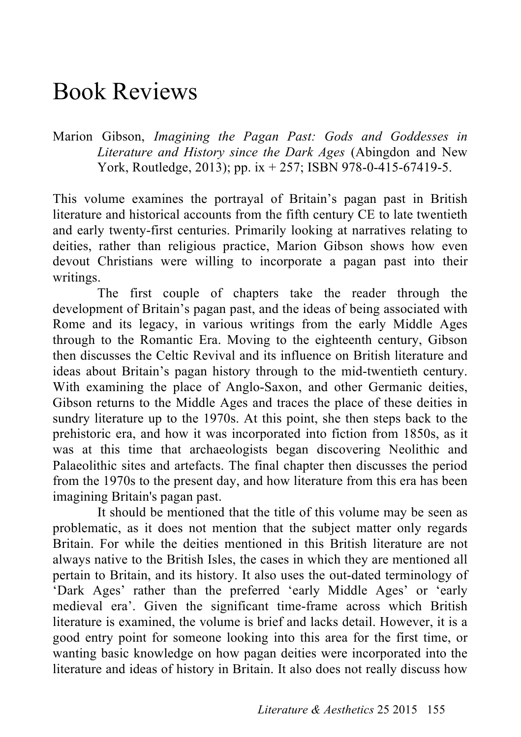## Book Reviews

Marion Gibson, *Imagining the Pagan Past: Gods and Goddesses in Literature and History since the Dark Ages* (Abingdon and New York, Routledge, 2013); pp. ix + 257; ISBN 978-0-415-67419-5.

This volume examines the portrayal of Britain's pagan past in British literature and historical accounts from the fifth century CE to late twentieth and early twenty-first centuries. Primarily looking at narratives relating to deities, rather than religious practice, Marion Gibson shows how even devout Christians were willing to incorporate a pagan past into their writings.

The first couple of chapters take the reader through the development of Britain's pagan past, and the ideas of being associated with Rome and its legacy, in various writings from the early Middle Ages through to the Romantic Era. Moving to the eighteenth century, Gibson then discusses the Celtic Revival and its influence on British literature and ideas about Britain's pagan history through to the mid-twentieth century. With examining the place of Anglo-Saxon, and other Germanic deities, Gibson returns to the Middle Ages and traces the place of these deities in sundry literature up to the 1970s. At this point, she then steps back to the prehistoric era, and how it was incorporated into fiction from 1850s, as it was at this time that archaeologists began discovering Neolithic and Palaeolithic sites and artefacts. The final chapter then discusses the period from the 1970s to the present day, and how literature from this era has been imagining Britain's pagan past.

It should be mentioned that the title of this volume may be seen as problematic, as it does not mention that the subject matter only regards Britain. For while the deities mentioned in this British literature are not always native to the British Isles, the cases in which they are mentioned all pertain to Britain, and its history. It also uses the out-dated terminology of 'Dark Ages' rather than the preferred 'early Middle Ages' or 'early medieval era'. Given the significant time-frame across which British literature is examined, the volume is brief and lacks detail. However, it is a good entry point for someone looking into this area for the first time, or wanting basic knowledge on how pagan deities were incorporated into the literature and ideas of history in Britain. It also does not really discuss how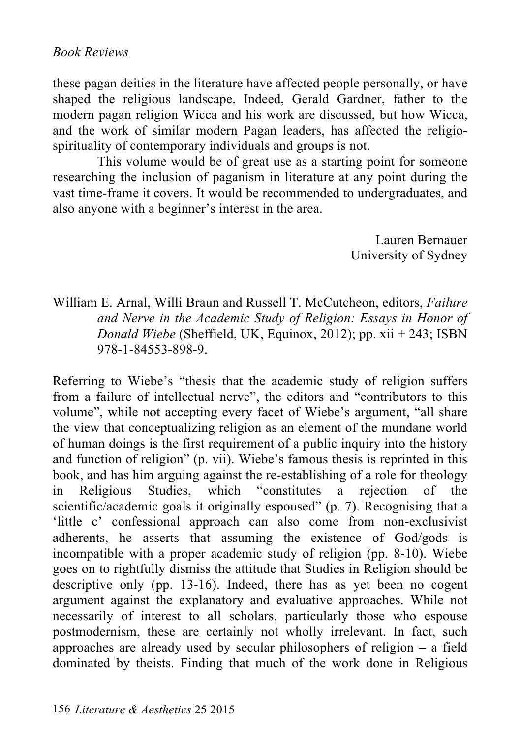these pagan deities in the literature have affected people personally, or have shaped the religious landscape. Indeed, Gerald Gardner, father to the modern pagan religion Wicca and his work are discussed, but how Wicca, and the work of similar modern Pagan leaders, has affected the religiospirituality of contemporary individuals and groups is not.

This volume would be of great use as a starting point for someone researching the inclusion of paganism in literature at any point during the vast time-frame it covers. It would be recommended to undergraduates, and also anyone with a beginner's interest in the area.

> Lauren Bernauer University of Sydney

William E. Arnal, Willi Braun and Russell T. McCutcheon, editors, *Failure and Nerve in the Academic Study of Religion: Essays in Honor of Donald Wiebe* (Sheffield, UK, Equinox, 2012); pp. xii + 243; ISBN 978-1-84553-898-9.

Referring to Wiebe's "thesis that the academic study of religion suffers from a failure of intellectual nerve", the editors and "contributors to this volume", while not accepting every facet of Wiebe's argument, "all share the view that conceptualizing religion as an element of the mundane world of human doings is the first requirement of a public inquiry into the history and function of religion" (p. vii). Wiebe's famous thesis is reprinted in this book, and has him arguing against the re-establishing of a role for theology in Religious Studies, which "constitutes a rejection of the scientific/academic goals it originally espoused" (p. 7). Recognising that a 'little c' confessional approach can also come from non-exclusivist adherents, he asserts that assuming the existence of God/gods is incompatible with a proper academic study of religion (pp. 8-10). Wiebe goes on to rightfully dismiss the attitude that Studies in Religion should be descriptive only (pp. 13-16). Indeed, there has as yet been no cogent argument against the explanatory and evaluative approaches. While not necessarily of interest to all scholars, particularly those who espouse postmodernism, these are certainly not wholly irrelevant. In fact, such approaches are already used by secular philosophers of religion  $-$  a field dominated by theists. Finding that much of the work done in Religious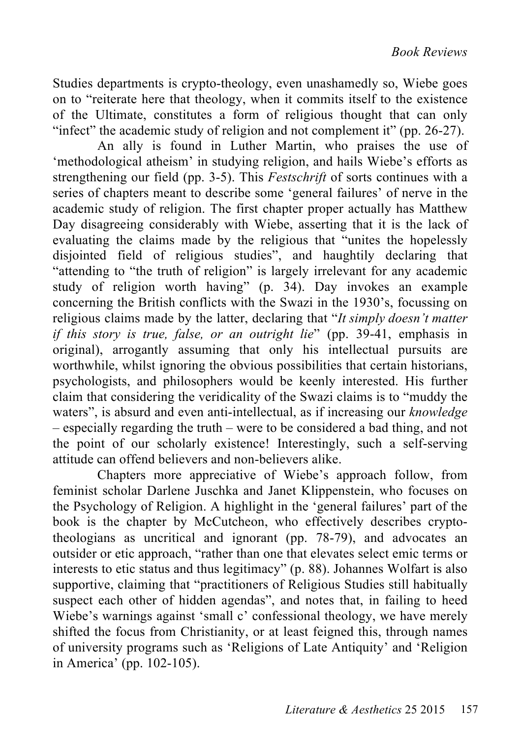Studies departments is crypto-theology, even unashamedly so, Wiebe goes on to "reiterate here that theology, when it commits itself to the existence of the Ultimate, constitutes a form of religious thought that can only "infect" the academic study of religion and not complement it" (pp. 26-27).

An ally is found in Luther Martin, who praises the use of 'methodological atheism' in studying religion, and hails Wiebe's efforts as strengthening our field (pp. 3-5). This *Festschrift* of sorts continues with a series of chapters meant to describe some 'general failures' of nerve in the academic study of religion. The first chapter proper actually has Matthew Day disagreeing considerably with Wiebe, asserting that it is the lack of evaluating the claims made by the religious that "unites the hopelessly disjointed field of religious studies", and haughtily declaring that "attending to "the truth of religion" is largely irrelevant for any academic study of religion worth having" (p. 34). Day invokes an example concerning the British conflicts with the Swazi in the 1930's, focussing on religious claims made by the latter, declaring that "*It simply doesn't matter if this story is true, false, or an outright lie*" (pp. 39-41, emphasis in original), arrogantly assuming that only his intellectual pursuits are worthwhile, whilst ignoring the obvious possibilities that certain historians, psychologists, and philosophers would be keenly interested. His further claim that considering the veridicality of the Swazi claims is to "muddy the waters", is absurd and even anti-intellectual, as if increasing our *knowledge* – especially regarding the truth – were to be considered a bad thing, and not the point of our scholarly existence! Interestingly, such a self-serving attitude can offend believers and non-believers alike.

Chapters more appreciative of Wiebe's approach follow, from feminist scholar Darlene Juschka and Janet Klippenstein, who focuses on the Psychology of Religion. A highlight in the 'general failures' part of the book is the chapter by McCutcheon, who effectively describes cryptotheologians as uncritical and ignorant (pp. 78-79), and advocates an outsider or etic approach, "rather than one that elevates select emic terms or interests to etic status and thus legitimacy" (p. 88). Johannes Wolfart is also supportive, claiming that "practitioners of Religious Studies still habitually suspect each other of hidden agendas", and notes that, in failing to heed Wiebe's warnings against 'small c' confessional theology, we have merely shifted the focus from Christianity, or at least feigned this, through names of university programs such as 'Religions of Late Antiquity' and 'Religion in America' (pp. 102-105).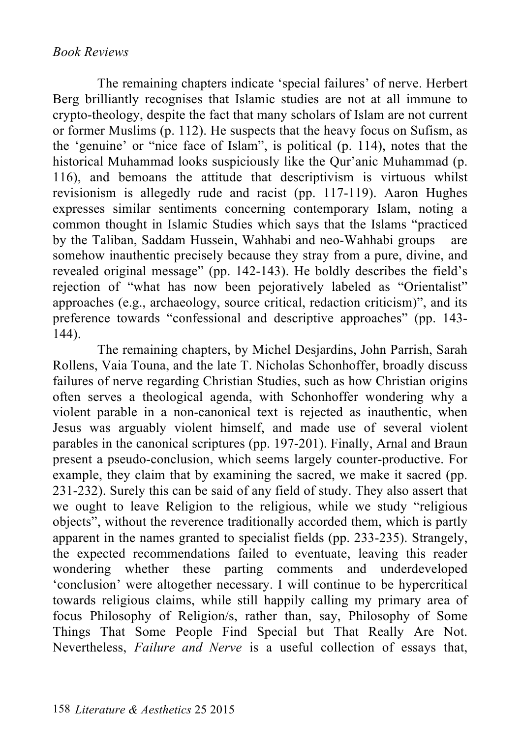## *Book Reviews*

The remaining chapters indicate 'special failures' of nerve. Herbert Berg brilliantly recognises that Islamic studies are not at all immune to crypto-theology, despite the fact that many scholars of Islam are not current or former Muslims (p. 112). He suspects that the heavy focus on Sufism, as the 'genuine' or "nice face of Islam", is political (p. 114), notes that the historical Muhammad looks suspiciously like the Qur'anic Muhammad (p. 116), and bemoans the attitude that descriptivism is virtuous whilst revisionism is allegedly rude and racist (pp. 117-119). Aaron Hughes expresses similar sentiments concerning contemporary Islam, noting a common thought in Islamic Studies which says that the Islams "practiced by the Taliban, Saddam Hussein, Wahhabi and neo-Wahhabi groups – are somehow inauthentic precisely because they stray from a pure, divine, and revealed original message" (pp. 142-143). He boldly describes the field's rejection of "what has now been pejoratively labeled as "Orientalist" approaches (e.g., archaeology, source critical, redaction criticism)", and its preference towards "confessional and descriptive approaches" (pp. 143- 144).

The remaining chapters, by Michel Desjardins, John Parrish, Sarah Rollens, Vaia Touna, and the late T. Nicholas Schonhoffer, broadly discuss failures of nerve regarding Christian Studies, such as how Christian origins often serves a theological agenda, with Schonhoffer wondering why a violent parable in a non-canonical text is rejected as inauthentic, when Jesus was arguably violent himself, and made use of several violent parables in the canonical scriptures (pp. 197-201). Finally, Arnal and Braun present a pseudo-conclusion, which seems largely counter-productive. For example, they claim that by examining the sacred, we make it sacred (pp. 231-232). Surely this can be said of any field of study. They also assert that we ought to leave Religion to the religious, while we study "religious objects", without the reverence traditionally accorded them, which is partly apparent in the names granted to specialist fields (pp. 233-235). Strangely, the expected recommendations failed to eventuate, leaving this reader wondering whether these parting comments and underdeveloped 'conclusion' were altogether necessary. I will continue to be hypercritical towards religious claims, while still happily calling my primary area of focus Philosophy of Religion/s, rather than, say, Philosophy of Some Things That Some People Find Special but That Really Are Not. Nevertheless, *Failure and Nerve* is a useful collection of essays that,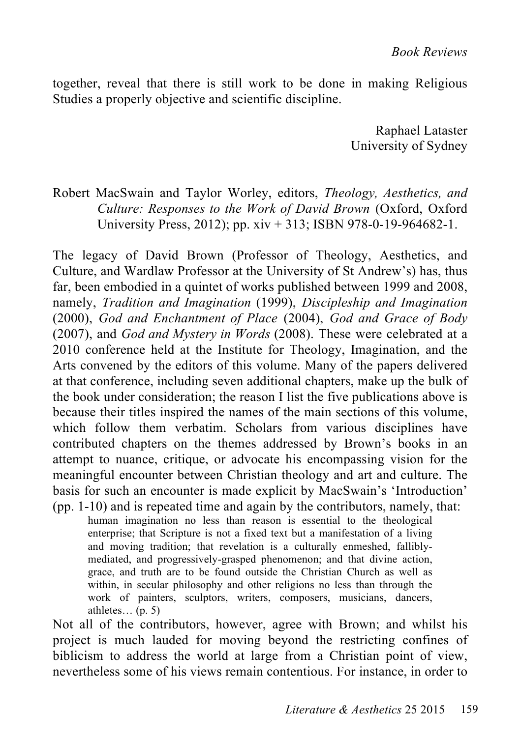together, reveal that there is still work to be done in making Religious Studies a properly objective and scientific discipline.

> Raphael Lataster University of Sydney

Robert MacSwain and Taylor Worley, editors, *Theology, Aesthetics, and Culture: Responses to the Work of David Brown* (Oxford, Oxford University Press, 2012); pp. xiv + 313; ISBN 978-0-19-964682-1.

The legacy of David Brown (Professor of Theology, Aesthetics, and Culture, and Wardlaw Professor at the University of St Andrew's) has, thus far, been embodied in a quintet of works published between 1999 and 2008, namely, *Tradition and Imagination* (1999), *Discipleship and Imagination* (2000), *God and Enchantment of Place* (2004), *God and Grace of Body* (2007), and *God and Mystery in Words* (2008). These were celebrated at a 2010 conference held at the Institute for Theology, Imagination, and the Arts convened by the editors of this volume. Many of the papers delivered at that conference, including seven additional chapters, make up the bulk of the book under consideration; the reason I list the five publications above is because their titles inspired the names of the main sections of this volume, which follow them verbatim. Scholars from various disciplines have contributed chapters on the themes addressed by Brown's books in an attempt to nuance, critique, or advocate his encompassing vision for the meaningful encounter between Christian theology and art and culture. The basis for such an encounter is made explicit by MacSwain's 'Introduction' (pp. 1-10) and is repeated time and again by the contributors, namely, that:

human imagination no less than reason is essential to the theological enterprise; that Scripture is not a fixed text but a manifestation of a living and moving tradition; that revelation is a culturally enmeshed, falliblymediated, and progressively-grasped phenomenon; and that divine action, grace, and truth are to be found outside the Christian Church as well as within, in secular philosophy and other religions no less than through the work of painters, sculptors, writers, composers, musicians, dancers, athletes... $(p. 5)$ 

Not all of the contributors, however, agree with Brown; and whilst his project is much lauded for moving beyond the restricting confines of biblicism to address the world at large from a Christian point of view, nevertheless some of his views remain contentious. For instance, in order to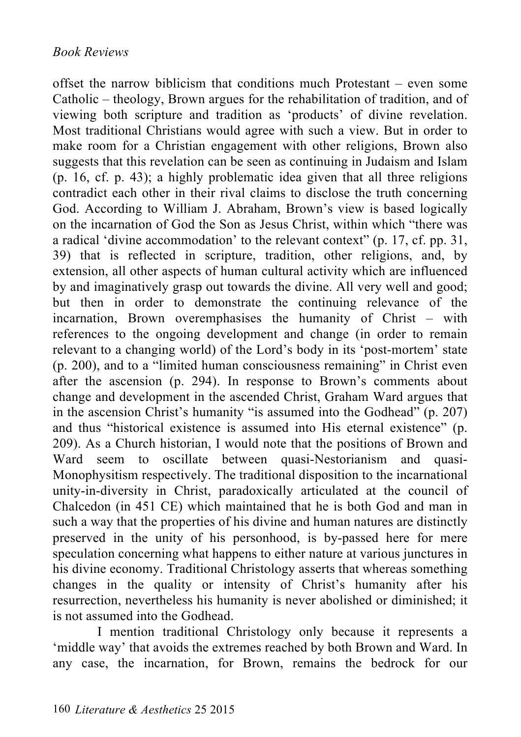offset the narrow biblicism that conditions much Protestant – even some Catholic – theology, Brown argues for the rehabilitation of tradition, and of viewing both scripture and tradition as 'products' of divine revelation. Most traditional Christians would agree with such a view. But in order to make room for a Christian engagement with other religions, Brown also suggests that this revelation can be seen as continuing in Judaism and Islam (p. 16, cf. p. 43); a highly problematic idea given that all three religions contradict each other in their rival claims to disclose the truth concerning God. According to William J. Abraham, Brown's view is based logically on the incarnation of God the Son as Jesus Christ, within which "there was a radical 'divine accommodation' to the relevant context" (p. 17, cf. pp. 31, 39) that is reflected in scripture, tradition, other religions, and, by extension, all other aspects of human cultural activity which are influenced by and imaginatively grasp out towards the divine. All very well and good; but then in order to demonstrate the continuing relevance of the incarnation, Brown overemphasises the humanity of Christ – with references to the ongoing development and change (in order to remain relevant to a changing world) of the Lord's body in its 'post-mortem' state (p. 200), and to a "limited human consciousness remaining" in Christ even after the ascension (p. 294). In response to Brown's comments about change and development in the ascended Christ, Graham Ward argues that in the ascension Christ's humanity "is assumed into the Godhead" (p. 207) and thus "historical existence is assumed into His eternal existence" (p. 209). As a Church historian, I would note that the positions of Brown and Ward seem to oscillate between quasi-Nestorianism and quasi-Monophysitism respectively. The traditional disposition to the incarnational unity-in-diversity in Christ, paradoxically articulated at the council of Chalcedon (in 451 CE) which maintained that he is both God and man in such a way that the properties of his divine and human natures are distinctly preserved in the unity of his personhood, is by-passed here for mere speculation concerning what happens to either nature at various junctures in his divine economy. Traditional Christology asserts that whereas something changes in the quality or intensity of Christ's humanity after his resurrection, nevertheless his humanity is never abolished or diminished; it is not assumed into the Godhead.

I mention traditional Christology only because it represents a 'middle way' that avoids the extremes reached by both Brown and Ward. In any case, the incarnation, for Brown, remains the bedrock for our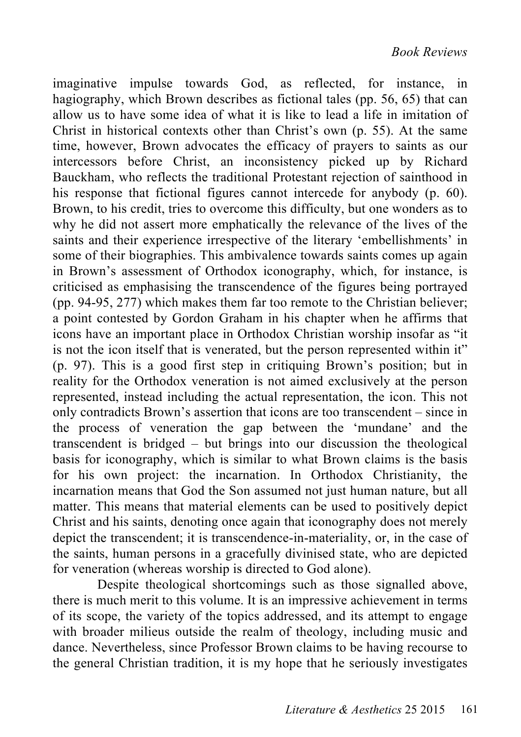imaginative impulse towards God, as reflected, for instance, in hagiography, which Brown describes as fictional tales (pp. 56, 65) that can allow us to have some idea of what it is like to lead a life in imitation of Christ in historical contexts other than Christ's own (p. 55). At the same time, however, Brown advocates the efficacy of prayers to saints as our intercessors before Christ, an inconsistency picked up by Richard Bauckham, who reflects the traditional Protestant rejection of sainthood in his response that fictional figures cannot intercede for anybody (p. 60). Brown, to his credit, tries to overcome this difficulty, but one wonders as to why he did not assert more emphatically the relevance of the lives of the saints and their experience irrespective of the literary 'embellishments' in some of their biographies. This ambivalence towards saints comes up again in Brown's assessment of Orthodox iconography, which, for instance, is criticised as emphasising the transcendence of the figures being portrayed (pp. 94-95, 277) which makes them far too remote to the Christian believer; a point contested by Gordon Graham in his chapter when he affirms that icons have an important place in Orthodox Christian worship insofar as "it is not the icon itself that is venerated, but the person represented within it" (p. 97). This is a good first step in critiquing Brown's position; but in reality for the Orthodox veneration is not aimed exclusively at the person represented, instead including the actual representation, the icon. This not only contradicts Brown's assertion that icons are too transcendent – since in the process of veneration the gap between the 'mundane' and the transcendent is bridged – but brings into our discussion the theological basis for iconography, which is similar to what Brown claims is the basis for his own project: the incarnation. In Orthodox Christianity, the incarnation means that God the Son assumed not just human nature, but all matter. This means that material elements can be used to positively depict Christ and his saints, denoting once again that iconography does not merely depict the transcendent; it is transcendence-in-materiality, or, in the case of the saints, human persons in a gracefully divinised state, who are depicted for veneration (whereas worship is directed to God alone).

Despite theological shortcomings such as those signalled above, there is much merit to this volume. It is an impressive achievement in terms of its scope, the variety of the topics addressed, and its attempt to engage with broader milieus outside the realm of theology, including music and dance. Nevertheless, since Professor Brown claims to be having recourse to the general Christian tradition, it is my hope that he seriously investigates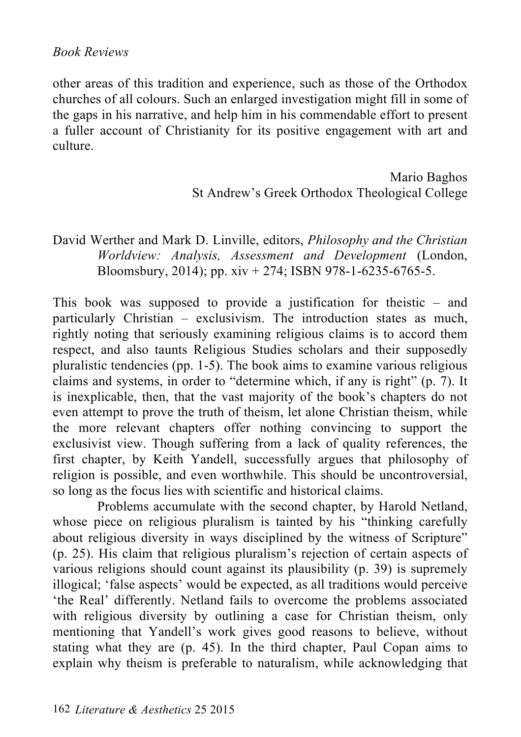## *Book Reviews*

other areas of this tradition and experience, such as those of the Orthodox churches of all colours. Such an enlarged investigation might fill in some of the gaps in his narrative, and help him in his commendable effort to present a fuller account of Christianity for its positive engagement with art and culture.

> Mario Baghos St Andrew's Greek Orthodox Theological College

David Werther and Mark D. Linville, editors, *Philosophy and the Christian Worldview: Analysis, Assessment and Development* (London, Bloomsbury, 2014); pp.  $xiv + 274$ ; ISBN 978-1-6235-6765-5.

This book was supposed to provide a justification for theistic – and particularly Christian – exclusivism. The introduction states as much, rightly noting that seriously examining religious claims is to accord them respect, and also taunts Religious Studies scholars and their supposedly pluralistic tendencies (pp. 1-5). The book aims to examine various religious claims and systems, in order to "determine which, if any is right" (p. 7). It is inexplicable, then, that the vast majority of the book's chapters do not even attempt to prove the truth of theism, let alone Christian theism, while the more relevant chapters offer nothing convincing to support the exclusivist view. Though suffering from a lack of quality references, the first chapter, by Keith Yandell, successfully argues that philosophy of religion is possible, and even worthwhile. This should be uncontroversial, so long as the focus lies with scientific and historical claims.

Problems accumulate with the second chapter, by Harold Netland, whose piece on religious pluralism is tainted by his "thinking carefully" about religious diversity in ways disciplined by the witness of Scripture" (p. 25). His claim that religious pluralism's rejection of certain aspects of various religions should count against its plausibility (p. 39) is supremely illogical; 'false aspects' would be expected, as all traditions would perceive 'the Real' differently. Netland fails to overcome the problems associated with religious diversity by outlining a case for Christian theism, only mentioning that Yandell's work gives good reasons to believe, without stating what they are (p. 45). In the third chapter, Paul Copan aims to explain why theism is preferable to naturalism, while acknowledging that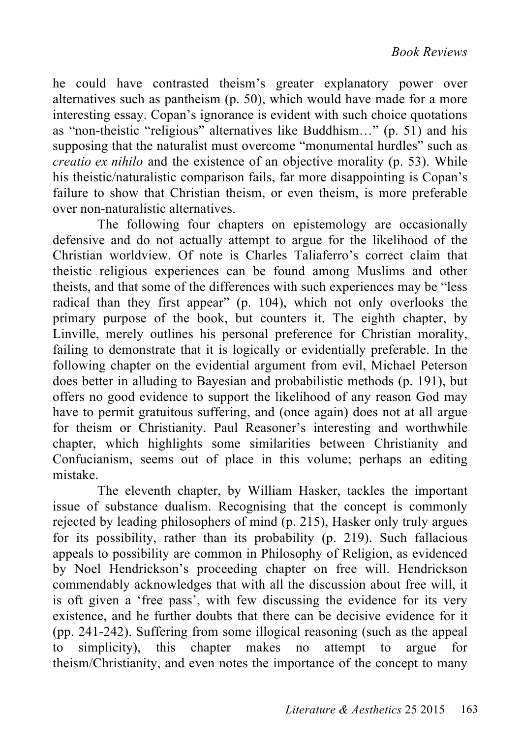he could have contrasted theism's greater explanatory power over alternatives such as pantheism (p. 50), which would have made for a more interesting essay. Copan's ignorance is evident with such choice quotations as "non-theistic "religious" alternatives like Buddhism…" (p. 51) and his supposing that the naturalist must overcome "monumental hurdles" such as *creatio ex nihilo* and the existence of an objective morality (p. 53). While his theistic/naturalistic comparison fails, far more disappointing is Copan's failure to show that Christian theism, or even theism, is more preferable over non-naturalistic alternatives.

The following four chapters on epistemology are occasionally defensive and do not actually attempt to argue for the likelihood of the Christian worldview. Of note is Charles Taliaferro's correct claim that theistic religious experiences can be found among Muslims and other theists, and that some of the differences with such experiences may be "less radical than they first appear" (p. 104), which not only overlooks the primary purpose of the book, but counters it. The eighth chapter, by Linville, merely outlines his personal preference for Christian morality, failing to demonstrate that it is logically or evidentially preferable. In the following chapter on the evidential argument from evil, Michael Peterson does better in alluding to Bayesian and probabilistic methods (p. 191), but offers no good evidence to support the likelihood of any reason God may have to permit gratuitous suffering, and (once again) does not at all argue for theism or Christianity. Paul Reasoner's interesting and worthwhile chapter, which highlights some similarities between Christianity and Confucianism, seems out of place in this volume; perhaps an editing mistake.

The eleventh chapter, by William Hasker, tackles the important issue of substance dualism. Recognising that the concept is commonly rejected by leading philosophers of mind (p. 215), Hasker only truly argues for its possibility, rather than its probability (p. 219). Such fallacious appeals to possibility are common in Philosophy of Religion, as evidenced by Noel Hendrickson's proceeding chapter on free will. Hendrickson commendably acknowledges that with all the discussion about free will, it is oft given a 'free pass', with few discussing the evidence for its very existence, and he further doubts that there can be decisive evidence for it (pp. 241-242). Suffering from some illogical reasoning (such as the appeal to simplicity), this chapter makes no attempt to argue for theism/Christianity, and even notes the importance of the concept to many